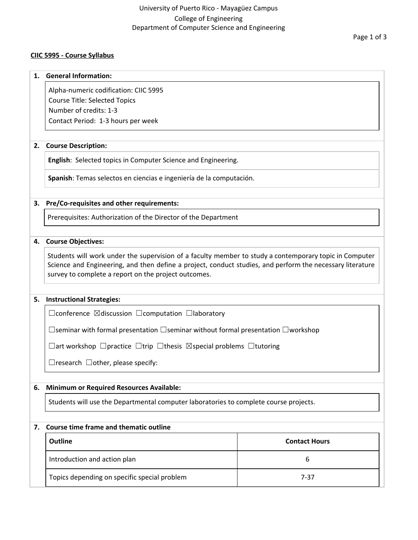# University of Puerto Rico - Mayagüez Campus College of Engineering Department of Computer Science and Engineering

### **CIIC 5995 - Course Syllabus**

#### **1. General Information:**

Alpha-numeric codification: CIIC 5995 Course Title: Selected Topics Number of credits: 1-3 Contact Period: 1-3 hours per week

### **2. Course Description:**

**English**: Selected topics in Computer Science and Engineering.

**Spanish**: Temas selectos en ciencias e ingeniería de la computación.

### **3. Pre/Co-requisites and other requirements:**

Prerequisites: Authorization of the Director of the Department

### **4. Course Objectives:**

Students will work under the supervision of a faculty member to study a contemporary topic in Computer Science and Engineering, and then define a project, conduct studies, and perform the necessary literature survey to complete a report on the project outcomes.

### **5. Instructional Strategies:**

☐conference ☒discussion ☐computation ☐laboratory

☐seminar with formal presentation ☐seminar without formal presentation ☐workshop

☐art workshop ☐practice ☐trip ☐thesis ☒special problems ☐tutoring

 $\Box$ research  $\Box$ other, please specify:

### **6. Minimum or Required Resources Available:**

Students will use the Departmental computer laboratories to complete course projects.

### **7. Course time frame and thematic outline**

| <b>Outline</b>                               | <b>Contact Hours</b> |
|----------------------------------------------|----------------------|
| Introduction and action plan                 |                      |
| Topics depending on specific special problem | 7-37                 |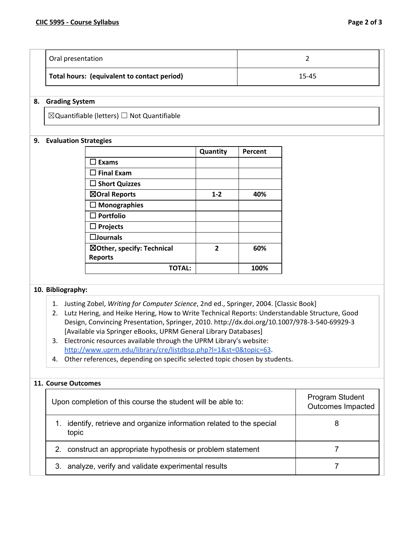| Oral presentation                           |       |
|---------------------------------------------|-------|
| Total hours: (equivalent to contact period) | 15-45 |

### **8. Grading System**

 $\boxtimes$ Quantifiable (letters)  $\Box$  Not Quantifiable

### **9. Evaluation Strategies**

|                            | Quantity       | Percent |
|----------------------------|----------------|---------|
| <b>Exams</b>               |                |         |
| $\Box$ Final Exam          |                |         |
| $\square$ Short Quizzes    |                |         |
| ⊠Oral Reports              | $1 - 2$        | 40%     |
| $\square$ Monographies     |                |         |
| $\square$ Portfolio        |                |         |
| $\Box$ Projects            |                |         |
| $\square$ Journals         |                |         |
| ⊠Other, specify: Technical | $\overline{2}$ | 60%     |
| <b>Reports</b>             |                |         |
| TOTAL:                     |                | 100%    |

### **10. Bibliography:**

- 1. Justing Zobel, *Writing for Computer Science*, 2nd ed., Springer, 2004. [Classic Book]
- 2. Lutz Hering, and Heike Hering, How to Write Technical Reports: Understandable Structure, Good Design, Convincing Presentation, Springer, 2010. http://dx.doi.org/10.1007/978-3-540-69929-3 [Available via Springer eBooks, UPRM General Library Databases]
- 3. Electronic resources available through the UPRM Library's website: <http://www.uprm.edu/library/cre/listdbsp.php?l=1&st=0&topic=63>.
- 4. Other references, depending on specific selected topic chosen by students.

### **11. Course Outcomes**

| Upon completion of this course the student will be able to:                 | Program Student<br>Outcomes Impacted |
|-----------------------------------------------------------------------------|--------------------------------------|
| identify, retrieve and organize information related to the special<br>topic | 8                                    |
| 2. construct an appropriate hypothesis or problem statement                 |                                      |
| 3. analyze, verify and validate experimental results                        |                                      |